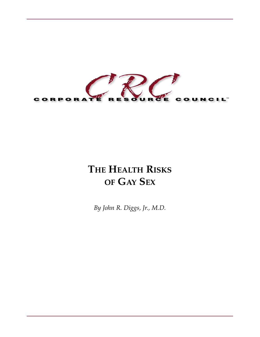

# **THE HEALTH RISKS OF GAY SEX**

*By John R. Diggs, Jr., M.D.*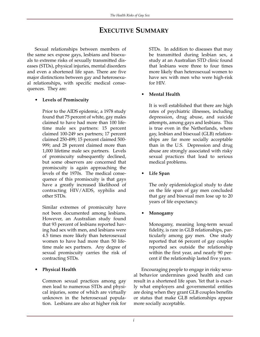# **EXECUTIVE SUMMARY**

Sexual relationships between members of the same sex expose gays, lesbians and bisexuals to extreme risks of sexually transmitted diseases (STDs), physical injuries, mental disorders and even a shortened life span. There are five major distinctions between gay and heterosexual relationships, with specific medical consequences. They are:

#### **• Levels of Promiscuity**

Prior to the AIDS epidemic, a 1978 study found that 75 percent of white, gay males claimed to have had more than 100 lifetime male sex partners: 15 percent claimed 100-249 sex partners; 17 percent claimed 250-499; 15 percent claimed 500- 999; and 28 percent claimed more than 1,000 lifetime male sex partners. Levels of promiscuity subsequently declined, but some observers are concerned that promiscuity is again approaching the levels of the 1970s. The medical consequence of this promiscuity is that gays have a greatly increased likelihood of contracting HIV/AIDS, syphilis and other STDs.

Similar extremes of promiscuity have not been documented among lesbians. However, an Australian study found that 93 percent of lesbians reported having had sex with men, and lesbians were 4.5 times more likely than heterosexual women to have had more than 50 lifetime male sex partners. Any degree of sexual promiscuity carries the risk of contracting STDs.

#### **• Physical Health**

Common sexual practices among gay men lead to numerous STDs and physical injuries, some of which are virtually unknown in the heterosexual population. Lesbians are also at higher risk for

STDs. In addition to diseases that may be transmitted during lesbian sex, a study at an Australian STD clinic found that lesbians were three to four times more likely than heterosexual women to have sex with men who were high-risk for HIV.

#### **• Mental Health**

It is well established that there are high rates of psychiatric illnesses, including depression, drug abuse, and suicide attempts, among gays and lesbians. This is true even in the Netherlands, where gay, lesbian and bisexual (GLB) relationships are far more socially acceptable than in the U.S. Depression and drug abuse are strongly associated with risky sexual practices that lead to serious medical problems.

**• Life Span**

The only epidemiological study to date on the life span of gay men concluded that gay and bisexual men lose up to 20 years of life expectancy.

**• Monogamy**

Monogamy, meaning long-term sexual fidelity, is rare in GLB relationships, particularly among gay men. One study reported that 66 percent of gay couples reported sex outside the relationship within the first year, and nearly 90 percent if the relationship lasted five years.

Encouraging people to engage in risky sexual behavior undermines good health and can result in a shortened life span. Yet that is exactly what employers and governmental entities are doing when they grant GLB couples benefits or status that make GLB relationships appear more socially acceptable.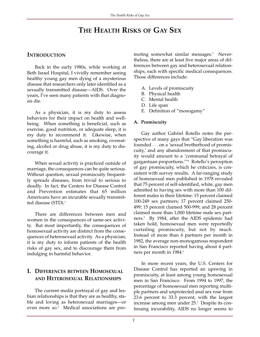# **THE HEALTH RISKS OF GAY SEX**

#### **INTRODUCTION**

Back in the early 1980s, while working at Beth Israel Hospital, I vividly remember seeing healthy young gay men dying of a mysterious disease that researchers only later identified as a sexually transmitted disease—AIDS. Over the years, I've seen many patients with that diagnosis die.

As a physician, it is my duty to assess behaviors for their impact on health and wellbeing. When something is beneficial, such as exercise, good nutrition, or adequate sleep, it is my duty to recommend it. Likewise, when something is harmful, such as smoking, overeating, alcohol or drug abuse, it is my duty to discourage it.

When sexual activity is practiced outside of marriage, the consequences can be quite serious. Without question, sexual promiscuity frequently spreads diseases, from trivial to serious to deadly. In fact, the Centers for Disease Control and Prevention estimates that 65 million Americans have an incurable sexually transmitted disease (STD).<sup>1</sup>

There are differences between men and women in the consequences of same-sex activity. But most importantly, the consequences of homosexual activity are distinct from the consequences of heterosexual activity. As a physician, it is my duty to inform patients of the health risks of gay sex, and to discourage them from indulging in harmful behavior.

### **I. DIFFERENCES BETWEEN HOMOSEXUAL AND HETEROSEXUAL RELATIONSHIPS**

The current media portrayal of gay and lesbian relationships is that they are as healthy, stable and loving as heterosexual marriages—or even more so.<sup>2</sup> Medical associations are promoting somewhat similar messages.3 Nevertheless, there are at least five major areas of differences between gay and heterosexual relationships, each with specific medical consequences. Those differences include:

- A. Levels of promiscuity
- B. Physical health
- C. Mental health
- D. Life span
- E. Definition of "monogamy"

#### **A. Promiscuity**

Gay author Gabriel Rotello notes the perspective of many gays that "Gay liberation was founded . . . on a 'sexual brotherhood of promiscuity,' and any abandonment of that promiscuity would amount to a 'communal betrayal of gargantuan proportions.'"4 Rotello's perception of gay promiscuity, which he criticizes, is consistent with survey results. A far-ranging study of homosexual men published in 1978 revealed that 75 percent of self-identified, white, gay men admitted to having sex with more than 100 different males in their lifetime: 15 percent claimed 100-249 sex partners; 17 percent claimed 250- 499; 15 percent claimed 500-999; and 28 percent claimed more than 1,000 lifetime male sex partners.5 By 1984, after the AIDS epidemic had taken hold, homosexual men were reportedly curtailing promiscuity, but not by much. Instead of more than 6 partners per month in 1982, the average non-monogamous respondent in San Francisco reported having about 4 partners per month in 1984.<sup>6</sup>

In more recent years, the U.S. Centers for Disease Control has reported an upswing in promiscuity, at least among young homosexual men in San Francisco. From 1994 to 1997, the percentage of homosexual men reporting multiple partners and unprotected anal sex rose from 23.6 percent to 33.3 percent, with the largest increase among men under 25.7 Despite its continuing incurability, AIDS no longer seems to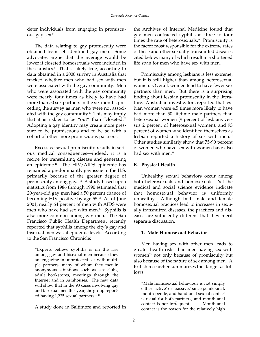deter individuals from engaging in promiscuous gay sex.<sup>8</sup>

The data relating to gay promiscuity were obtained from self-identified gay men. Some advocates argue that the average would be lower if closeted homosexuals were included in the statistics.9 That is likely true, according to data obtained in a 2000 survey in Australia that tracked whether men who had sex with men were associated with the gay community. Men who were associated with the gay community were nearly four times as likely to have had more than 50 sex partners in the six months preceding the survey as men who were not associated with the gay community.<sup>10</sup> This may imply that it is riskier to be "out" than "closeted." Adopting a gay identity may create more pressure to be promiscuous and to be so with a cohort of other more promiscuous partners.

Excessive sexual promiscuity results in serious medical consequences—indeed, it is a recipe for transmitting disease and generating an epidemic.<sup>11</sup> The HIV/AIDS epidemic has remained a predominantly gay issue in the U.S. primarily because of the greater degree of promiscuity among gays.12 A study based upon statistics from 1986 through 1990 estimated that 20-year-old gay men had a 50 percent chance of becoming HIV positive by age 55.13 As of June 2001, nearly 64 percent of men with AIDS were men who have had sex with men.<sup>14</sup> Syphilis is also more common among gay men. The San Francisco Public Health Department recently reported that syphilis among the city's gay and bisexual men was at epidemic levels. According to the San Francisco Chronicle:

"Experts believe syphilis is on the rise among gay and bisexual men because they are engaging in unprotected sex with multiple partners, many of whom they met in anonymous situations such as sex clubs, adult bookstores, meetings through the Internet and in bathhouses. The new data will show that in the 93 cases involving gay and bisexual men this year, the group reported having 1,225 sexual partners."15

A study done in Baltimore and reported in

the Archives of Internal Medicine found that gay men contracted syphilis at three to four times the rate of heterosexuals.<sup>16</sup> Promiscuity is the factor most responsible for the extreme rates of these and other sexually transmitted diseases cited below, many of which result in a shortened life span for men who have sex with men.

Promiscuity among lesbians is less extreme, but it is still higher than among heterosexual women. Overall, women tend to have fewer sex partners than men. But there is a surprising finding about lesbian promiscuity in the literature. Australian investigators reported that lesbian women were 4.5 times more likely to have had more than 50 lifetime male partners than heterosexual women (9 percent of lesbians versus 2 percent of heterosexual women); and 93 percent of women who identified themselves as lesbian reported a history of sex with men.17 Other studies similarly show that 75-90 percent of women who have sex with women have also had sex with men.<sup>18</sup>

#### **B. Physical Health**

Unhealthy sexual behaviors occur among both heterosexuals and homosexuals. Yet the medical and social science evidence indicate that homosexual behavior is uniformly unhealthy. Although both male and female homosexual practices lead to increases in sexually transmitted diseases, the practices and diseases are sufficiently different that they merit separate discussion.

#### **1. Male Homosexual Behavior**

Men having sex with other men leads to greater health risks than men having sex with women<sup>19</sup> not only because of promiscuity but also because of the nature of sex among men. A British researcher summarizes the danger as follows:

"Male homosexual behaviour is not simply either 'active' or 'passive,' since penile-anal, mouth-penile, and hand-anal sexual contact is usual for both partners, and mouth-anal contact is not infrequent. . . . Mouth-anal contact is the reason for the relatively high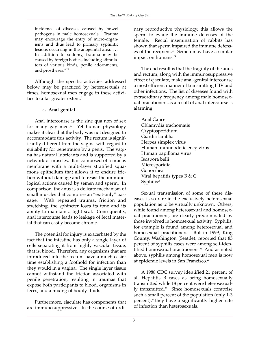incidence of diseases caused by bowel pathogens in male homosexuals. Trauma may encourage the entry of micro-organisms and thus lead to primary syphilitic lesions occurring in the anogenital area. . . . In addition to sodomy, trauma may be caused by foreign bodies, including stimulators of various kinds, penile adornments, and prostheses."20

Although the specific activities addressed below may be practiced by heterosexuals at times, homosexual men engage in these activities to a far greater extent.<sup>21</sup>

#### **a. Anal-genital**

Anal intercourse is the sine qua non of sex for many gay men.<sup>22</sup> Yet human physiology makes it clear that the body was not designed to accommodate this activity. The rectum is significantly different from the vagina with regard to suitability for penetration by a penis. The vagina has natural lubricants and is supported by a network of muscles. It is composed of a mucus membrane with a multi-layer stratified squamous epithelium that allows it to endure friction without damage and to resist the immunological actions caused by semen and sperm. In comparison, the anus is a delicate mechanism of small muscles that comprise an "exit-only" passage. With repeated trauma, friction and stretching, the sphincter loses its tone and its ability to maintain a tight seal. Consequently, anal intercourse leads to leakage of fecal material that can easily become chronic.

The potential for injury is exacerbated by the fact that the intestine has only a single layer of cells separating it from highly vascular tissue, that is, blood. Therefore, any organisms that are introduced into the rectum have a much easier time establishing a foothold for infection than they would in a vagina. The single layer tissue cannot withstand the friction associated with penile penetration, resulting in traumas that expose both participants to blood, organisms in feces, and a mixing of bodily fluids.

Furthermore, ejaculate has components that are immunosuppressive. In the course of ordinary reproductive physiology, this allows the sperm to evade the immune defenses of the female. Rectal insemination of rabbits has shown that sperm impaired the immune defenses of the recipient.<sup>23</sup> Semen may have a similar impact on humans.<sup>24</sup>

The end result is that the fragility of the anus and rectum, along with the immunosuppressive effect of ejaculate, make anal-genital intercourse a most efficient manner of transmitting HIV and other infections. The list of diseases found with extraordinary frequency among male homosexual practitioners as a result of anal intercourse is alarming:

Anal Cancer Chlamydia trachomatis Cryptosporidium Giardia lamblia Herpes simplex virus Human immunodeficiency virus Human papilloma virus Isospora belli Microsporidia Gonorrhea Viral hepatitis types B & C Syphilis<sup>25</sup>

Sexual transmission of some of these diseases is so rare in the exclusively heterosexual population as to be virtually unknown. Others, while found among heterosexual and homosexual practitioners, are clearly predominated by those involved in homosexual activity. Syphilis, for example is found among heterosexual and homosexual practitioners. But in 1999, King County, Washington (Seattle), reported that 85 percent of syphilis cases were among self-identified homosexual practitioners.<sup>26</sup> And as noted above, syphilis among homosexual men is now at epidemic levels in San Francisco.<sup>27</sup>

A 1988 CDC survey identified 21 percent of all Hepatitis B cases as being homosexually transmitted while 18 percent were heterosexually transmitted.28 Since homosexuals comprise such a small percent of the population (only 1-3 percent), $29$  they have a significantly higher rate of infection than heterosexuals.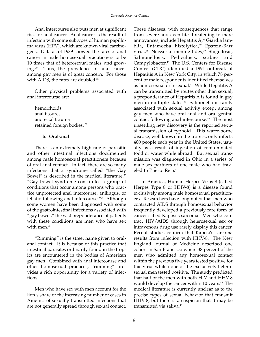Anal intercourse also puts men at significant risk for anal cancer. Anal cancer is the result of infection with some subtypes of human papilloma virus (HPV), which are known viral carcinogens. Data as of 1989 showed the rates of anal cancer in male homosexual practitioners to be 10 times that of heterosexual males, and growing.30 Thus, the prevalence of anal cancer among gay men is of great concern. For those with AIDS, the rates are doubled.<sup>31</sup>

Other physical problems associated with anal intercourse are:

hemorrhoids anal fissures anorectal trauma retained foreign bodies. 32

#### **b. Oral-anal**

There is an extremely high rate of parasitic and other intestinal infections documented among male homosexual practitioners because of oral-anal contact. In fact, there are so many infections that a syndrome called "the Gay Bowel" is described in the medical literature.<sup>33</sup> "Gay bowel syndrome constitutes a group of conditions that occur among persons who practice unprotected anal intercourse, anilingus, or fellatio following anal intercourse."34 Although some women have been diagnosed with some of the gastrointestinal infections associated with "gay bowel," the vast preponderance of patients with these conditions are men who have sex with men.<sup>35</sup>

"Rimming" is the street name given to oralanal contact. It is because of this practice that intestinal parasites ordinarily found in the tropics are encountered in the bodies of American gay men. Combined with anal intercourse and other homosexual practices, "rimming" provides a rich opportunity for a variety of infections.

Men who have sex with men account for the lion's share of the increasing number of cases in America of sexually transmitted infections that are not generally spread through sexual contact.

These diseases, with consequences that range from severe and even life-threatening to mere annoyances, include Hepatitis A,<sup>36</sup> Giardia lamblia, Entamoeba histolytica,<sup>37</sup> Epstein-Barr virus,<sup>38</sup> Neisseria meningitides,<sup>39</sup> Shigellosis, Salmonellosis, Pediculosis, scabies and Campylobacter.40 The U.S. Centers for Disease Control (CDC) identified a 1991 outbreak of Hepatitis A in New York City, in which 78 percent of male respondents identified themselves as homosexual or bisexual.<sup>41</sup> While Hepatitis A can be transmitted by routes other than sexual, a preponderance of Hepatitis A is found in gay men in multiple states.<sup>42</sup> Salmonella is rarely associated with sexual activity except among gay men who have oral-anal and oral-genital contact following anal intercourse.43 The most unsettling new discovery is the reported sexual transmission of typhoid. This water-borne disease, well known in the tropics, only infects 400 people each year in the United States, usually as a result of ingestion of contaminated food or water while abroad. But sexual transmission was diagnosed in Ohio in a series of male sex partners of one male who had traveled to Puerto Rico.<sup>44</sup>

In America, Human Herpes Virus 8 (called Herpes Type 8 or HHV-8) is a disease found exclusively among male homosexual practitioners. Researchers have long noted that men who contracted AIDS through homosexual behavior frequently developed a previously rare form of cancer called Kaposi's sarcoma. Men who contract HIV/AIDS through heterosexual sex or intravenous drug use rarely display this cancer. Recent studies confirm that Kaposi's sarcoma results from infection with HHV-8. The New England Journal of Medicine described one cohort in San Francisco where 38 percent of the men who admitted any homosexual contact within the previous five years tested positive for this virus while none of the exclusively heterosexual men tested positive. The study predicted that half of the men with both HIV and HHV-8 would develop the cancer within 10 years.<sup>45</sup> The medical literature is currently unclear as to the precise types of sexual behavior that transmit HHV-8, but there is a suspicion that it may be transmitted via saliva.<sup>46</sup>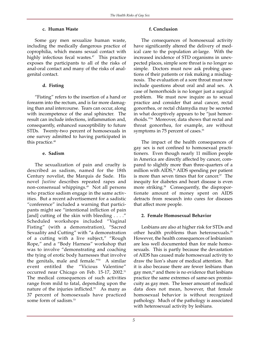#### **c. Human Waste**

Some gay men sexualize human waste, including the medically dangerous practice of coprophilia, which means sexual contact with highly infectious fecal wastes.<sup>47</sup> This practice exposes the participants to all of the risks of anal-oral contact and many of the risks of analgenital contact.

#### **d. Fisting**

"Fisting" refers to the insertion of a hand or forearm into the rectum, and is far more damaging than anal intercourse. Tears can occur, along with incompetence of the anal sphincter. The result can include infections, inflammation and, consequently, enhanced susceptibility to future STDs. Twenty-two percent of homosexuals in one survey admitted to having participated in this practice.<sup>48</sup>

#### **e. Sadism**

The sexualization of pain and cruelty is described as sadism, named for the 18th Century novelist, the Marquis de Sade. His novel *Justine* describes repeated rapes and non-consensual whippings.<sup>49</sup> Not all persons who practice sadism engage in the same activities. But a recent advertisement for a sadistic "conference" included a warning that participants might see "intentional infliction of pain [and] cutting of the skin with bleeding . . . ." Scheduled workshops included "Vaginal Fisting" (with a demonstration), "Sacred Sexuality and Cutting" with "a demonstration of a cutting with a live subject," "Rough Rope," and a "Body Harness" workshop that was to involve "demonstrating and coaching the tying of erotic body harnesses that involve the genitals, male and female."<sup>50</sup> A similar event entitled the "Vicious Valentine" occurred near Chicago on Feb. 15-17, 2002.<sup>51</sup> The medical consequences of such activities range from mild to fatal, depending upon the nature of the injuries inflicted.<sup>52</sup> As many as 37 percent of homosexuals have practiced some form of sadism.<sup>53</sup>

#### **f. Conclusion**

The consequences of homosexual activity have significantly altered the delivery of medical care to the population at-large. With the increased incidence of STD organisms in unexpected places, simple sore throat is no longer so simple. Doctors must now ask probing questions of their patients or risk making a misdiagnosis. The evaluation of a sore throat must now include questions about oral and anal sex. A case of hemorrhoids is no longer just a surgical problem. We must now inquire as to sexual practice and consider that anal cancer, rectal gonorrhea, or rectal chlamydia may be secreted in what deceptively appears to be "just hemorrhoids."54 Moreover, data shows that rectal and throat gonorrhea, for example, are without symptoms in 75 percent of cases.<sup>55</sup>

The impact of the health consequences of gay sex is not confined to homosexual practitioners. Even though nearly 11 million people in America are directly affected by cancer, compared to slightly more than three-quarters of a million with AIDS,<sup>56</sup> AIDS spending per patient is more than seven times that for cancer.<sup>57</sup> The inequity for diabetes and heart disease is even more striking.<sup>58</sup> Consequently, the disproportionate amount of money spent on AIDS detracts from research into cures for diseases that affect more people.

#### **2. Female Homosexual Behavior**

Lesbians are also at higher risk for STDs and other health problems than heterosexuals.<sup>59</sup> However, the health consequences of lesbianism are less well documented than for male homosexuals. This is partly because the devastation of AIDS has caused male homosexual activity to draw the lion's share of medical attention. But it is also because there are fewer lesbians than gay men, $60$  and there is no evidence that lesbians practice the same extremes of same-sex promiscuity as gay men. The lesser amount of medical data does not mean, however, that female homosexual behavior is without recognized pathology. Much of the pathology is associated with heterosexual activity by lesbians.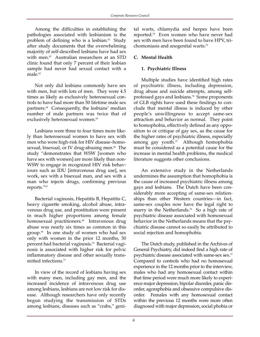Among the difficulties in establishing the pathologies associated with lesbianism is the problem of defining who is a lesbian.<sup>61</sup> Study after study documents that the overwhelming majority of self-described lesbians have had sex with men.<sup>62</sup> Australian researchers at an STD clinic found that only 7 percent of their lesbian sample had never had sexual contact with a male.<sup>63</sup>

Not only did lesbians commonly have sex with men, but with lots of men. They were 4.5 times as likely as exclusively heterosexual controls to have had more than 50 lifetime male sex partners.64 Consequently, the lesbians' median number of male partners was twice that of exclusively heterosexual women.<sup>65</sup>

Lesbians were three to four times more likely than heterosexual women to have sex with men who were high-risk for HIV disease–homosexual, bisexual, or IV drug-abusing men.<sup>66</sup> The study "demonstrates that WSW [women who have sex with women] are more likely than non-WSW to engage in recognized HIV risk behaviours such as IDU [intravenous drug use], sex work, sex with a bisexual man, and sex with a man who injects drugs, confirming previous reports."67

Bacterial vaginosis, Hepatitis B, Hepatitis C, heavy cigarette smoking, alcohol abuse, intravenous drug use, and prostitution were present in much higher proportions among female homosexual practitioners.<sup>68</sup> Intravenous drug abuse was nearly six times as common in this group.69 In one study of women who had sex only with women in the prior 12 months, 30 percent had bacterial vaginosis.<sup>70</sup> Bacterial vaginosis is associated with higher risk for pelvic inflammatory disease and other sexually transmitted infections.<sup>71</sup>

In view of the record of lesbians having sex with many men, including gay men, and the increased incidence of intravenous drug use among lesbians, lesbians are not low risk for disease. Although researchers have only recently begun studying the transmission of STDs among lesbians, diseases such as "crabs," genital warts, chlamydia and herpes have been reported.72 Even women who have never had sex with men have been found to have HPV, trichomoniasis and anogenital warts.73

#### **C. Mental Health**

#### **1. Psychiatric Illness**

Multiple studies have identified high rates of psychiatric illness, including depression, drug abuse and suicide attempts, among selfprofessed gays and lesbians.<sup>74</sup> Some proponents of GLB rights have used these findings to conclude that mental illness is induced by other people's unwillingness to accept same-sex attraction and behavior as normal. They point to homophobia, effectively defined as any opposition to or critique of gay sex, as the cause for the higher rates of psychiatric illness, especially among gay youth.<sup>75</sup> Although homophobia must be considered as a potential cause for the increase in mental health problems, the medical literature suggests other conclusions.

An extensive study in the Netherlands undermines the assumption that homophobia is the cause of increased psychiatric illness among gays and lesbians. The Dutch have been considerably more accepting of same-sex relationships than other Western countries—in fact, same-sex couples now have the legal right to marry in the Netherlands.<sup>76</sup> So a high rate of psychiatric disease associated with homosexual behavior in the Netherlands means that the psychiatric disease cannot so easily be attributed to social rejection and homophobia.

The Dutch study, published in the Archives of General Psychiatry, did indeed find a high rate of psychiatric disease associated with same-sex sex. $\pi$ Compared to controls who had no homosexual experience in the 12 months prior to the interview, males who had any homosexual contact within that time period were much more likely to experience major depression, bipolar disorder, panic disorder, agoraphobia and obsessive compulsive disorder. Females with any homosexual contact within the previous 12 months were more often diagnosed with major depression, social phobia or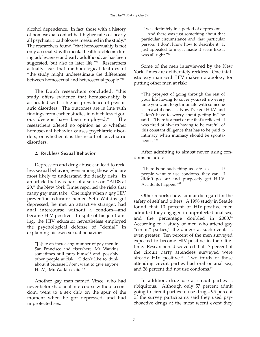alcohol dependence. In fact, those with a history of homosexual contact had higher rates of nearly all psychiatric pathologies measured in the study.<sup>78</sup> The researchers found "that homosexuality is not only associated with mental health problems during adolescence and early adulthood, as has been suggested, but also in later life."79 Researchers actually fear that methodological features of "the study might underestimate the differences between homosexual and heterosexual people."<sup>80</sup>

The Dutch researchers concluded, "this study offers evidence that homosexuality is associated with a higher prevalence of psychiatric disorders. The outcomes are in line with findings from earlier studies in which less rigorous designs have been employed."81 The researchers offered no opinion as to whether homosexual behavior causes psychiatric disorders, or whether it is the result of psychiatric disorders.

#### **2. Reckless Sexual Behavior**

Depression and drug abuse can lead to reckless sexual behavior, even among those who are most likely to understand the deadly risks. In an article that was part of a series on "AIDS at 20," the New York Times reported the risks that many gay men take. One night when a gay HIV prevention educator named Seth Watkins got depressed, he met an attractive stranger, had anal intercourse without a condom—and became HIV positive. In spite of his job training, the HIV educator nevertheless employed the psychological defense of "denial" in explaining his own sexual behavior:

"[L]ike an increasing number of gay men in San Francisco and elsewhere, Mr. Watkins sometimes still puts himself and possibly other people at risk. 'I don't like to think about it because I don't want to give anyone H.I.V.,' Mr. Watkins said."82

Another gay man named Vince, who had never before had anal intercourse without a condom, went to a sex club on the spur of the moment when he got depressed, and had unprotected sex:

"I was definitely in a period of depression . . . . And there was just something about that particular circumstance and that particular person. I don't know how to describe it. It just appealed to me; it made it seem like it was all right."<sup>83</sup>

Some of the men interviewed by the New York Times are deliberately reckless. One fatalistic gay man with HIV makes no apology for putting other men at risk:

"The prospect of going through the rest of your life having to cover yourself up every time you want to get intimate with someone is an awful one. . . . Now I've got H.I.V. and I don't have to worry about getting it," he said. "There is a part of me that's relieved. I was tired of always having to be careful, of this constant diligence that has to be paid to intimacy when intimacy should be spontaneous."84

After admitting to almost never using condoms he adds:

"There is no such thing as safe sex. . . . If people want to use condoms, they can. I didn't go out and purposely get H.I.V. Accidents happen."85

Other reports show similar disregard for the safety of self and others. A 1998 study in Seattle found that 10 percent of HIV-positive men admitted they engaged in unprotected anal sex, and the percentage doubled in 2000.<sup>86</sup> According to a study of men who attend gay "circuit" parties, $s<sub>7</sub>$  the danger at such events is even greater. Ten percent of the men surveyed expected to become HIV-positive in their lifetime. Researchers discovered that 17 percent of the circuit party attendees surveyed were already HIV positive.<sup>88</sup> Two thirds of those attending circuit parties had oral or anal sex, and 28 percent did not use condoms.<sup>89</sup>

In addition, drug use at circuit parties is ubiquitous. Although only 57 percent admit going to circuit parties to use drugs, 95 percent of the survey participants said they used psychoactive drugs at the most recent event they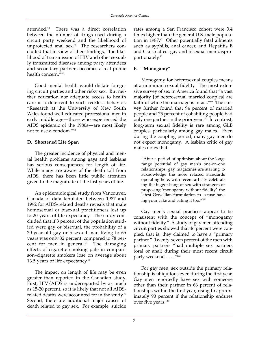attended.90 There was a direct correlation between the number of drugs used during a circuit party weekend and the likelihood of unprotected anal sex.<sup>91</sup> The researchers concluded that in view of their findings, "the likelihood of transmission of HIV and other sexually transmitted diseases among party attendees and secondary partners becomes a real public health concern."92

Good mental health would dictate foregoing circuit parties and other risky sex. But neither education nor adequate access to health care is a deterrent to such reckless behavior. "Research at the University of New South Wales found well-educated professional men in early middle age—those who experienced the AIDS epidemic of the 1980s—are most likely not to use a condom."93

#### **D. Shortened Life Span**

The greater incidence of physical and mental health problems among gays and lesbians has serious consequences for length of life. While many are aware of the death toll from AIDS, there has been little public attention given to the magnitude of the lost years of life.

An epidemiological study from Vancouver, Canada of data tabulated between 1987 and 1992 for AIDS-related deaths reveals that male homosexual or bisexual practitioners lost up to 20 years of life expectancy. The study concluded that if 3 percent of the population studied were gay or bisexual, the probability of a 20-year-old gay or bisexual man living to 65 years was only 32 percent, compared to 78 percent for men in general.<sup>94</sup> The damaging effects of cigarette smoking pale in comparison–cigarette smokers lose on average about 13.5 years of life expectancy.95

The impact on length of life may be even greater than reported in the Canadian study. First, HIV/AIDS is underreported by as much as 15-20 percent, so it is likely that not all AIDSrelated deaths were accounted for in the study.<sup>96</sup> Second, there are additional major causes of death related to gay sex. For example, suicide rates among a San Francisco cohort were 3.4 times higher than the general U.S. male population in 1987. $\frac{97}{7}$  Other potentially fatal ailments such as syphilis, anal cancer, and Hepatitis B and C also affect gay and bisexual men disproportionately.98

#### **E. "Monogamy"**

Monogamy for heterosexual couples means at a minimum sexual fidelity. The most extensive survey of sex in America found that "a vast majority [of heterosexual married couples] are faithful while the marriage is intact."<sup>99</sup> The survey further found that 94 percent of married people and 75 percent of cohabiting people had only one partner in the prior year.100 In contrast, long-term sexual fidelity is rare among GLB couples, particularly among gay males. Even during the coupling period, many gay men do not expect monogamy. A lesbian critic of gay males notes that:

"After a period of optimism about the longrange potential of gay men's one-on-one relationships, gay magazines are starting to acknowledge the more relaxed standards operating here, with recent articles celebrating the bigger bang of sex with strangers or proposing 'monogamy without fidelity'–the latest Orwellian formulation to excuse having your cake and eating it too."101

Gay men's sexual practices appear to be consistent with the concept of "monogamy without fidelity." A study of gay men attending circuit parties showed that 46 percent were coupled, that is, they claimed to have a "primary partner." Twenty-seven percent of the men with primary partners "had multiple sex partners (oral or anal) during their most recent circuit party weekend . . . . "<sup>102</sup>

For gay men, sex outside the primary relationship is ubiquitous even during the first year. Gay men reportedly have sex with someone other than their partner in 66 percent of relationships within the first year, rising to approximately 90 percent if the relationship endures over five years.<sup>103</sup>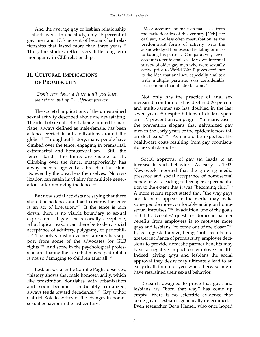And the average gay or lesbian relationship is short lived. In one study, only 15 percent of gay men and 17.3 percent of lesbians had relationships that lasted more than three years.<sup>104</sup> Thus, the studies reflect very little long-term monogamy in GLB relationships.

# **II. CULTURAL IMPLICATIONS OF PROMISCUITY**

*"Don't tear down a fence until you know why it was put up." ~ African proverb*

The societal implications of the unrestrained sexual activity described above are devastating. The ideal of sexual activity being limited to marriage, always defined as male-female, has been a fence erected in all civilizations around the globe.105 Throughout history, many people have climbed over the fence, engaging in premarital, extramarital and homosexual sex. Still, the fence stands; the limits are visible to all. Climbing over the fence, metaphorically, has always been recognized as a breach of those limits, even by the breachers themselves. No civilization can retain its vitality for multiple generations after removing the fence.<sup>106</sup>

But now social activists are saying that there should be no fence, and that to destroy the fence is an act of liberation.<sup>107</sup> If the fence is torn down, there is no visible boundary to sexual expression. If gay sex is socially acceptable, what logical reason can there be to deny social acceptance of adultery, polygamy, or pedophilia? The polygamist movement already has support from some of the advocates for GLB rights.108 And some in the psychological profession are floating the idea that maybe pedophilia is not so damaging to children after all.<sup>109</sup>

Lesbian social critic Camille Paglia observes, "history shows that male homosexuality, which like prostitution flourishes with urbanization and soon becomes predictably ritualized, always tends toward decadence."110 Gay author Gabriel Rotello writes of the changes in homosexual behavior in the last century:

"Most accounts of male-on-male sex from the early decades of this century [20th] cite oral sex, and less often masturbation, as the predominant forms of activity, with the acknowledged homosexual fellating or masturbating his partner. Comparatively fewer accounts refer to anal sex. My own informal survey of older gay men who were sexually active prior to World War II gives credence to the idea that anal sex, especially anal sex with multiple partners, was considerably less common than it later became."111

Not only has the practice of anal sex increased, condom use has declined 20 percent and multi-partner sex has doubled in the last seven years,<sup>112</sup> despite billions of dollars spent on HIV prevention campaigns. "In many cases, the prevention slogans that galvanized gay men in the early years of the epidemic now fall on deaf ears."113 As should be expected, the health-care costs resulting from gay promiscuity are substantial.<sup>114</sup>

Social approval of gay sex leads to an increase in such behavior. As early as 1993, Newsweek reported that the growing media presence and social acceptance of homosexual behavior was leading to teenager experimentation to the extent that it was "becoming chic."115 A more recent report stated that "the way gays and lesbians appear in the media may make some people more comfortable acting on homosexual impulses."<sup>116</sup> In addition, one of the goals of GLB advocates' quest for domestic partner benefits from employers is to motivate more gays and lesbians "to come out of the closet."117 If, as suggested above, being "out" results in a greater incidence of promiscuity, employer decisions to provide domestic partner benefits may have a negative impact on employee health. Indeed, giving gays and lesbians the social approval they desire may ultimately lead to an early death for employees who otherwise might have restrained their sexual behavior.

Research designed to prove that gays and lesbians are "born that way" has come up empty—there is no scientific evidence that being gay or lesbian is genetically determined.<sup>118</sup> Even researcher Dean Hamer, who once hoped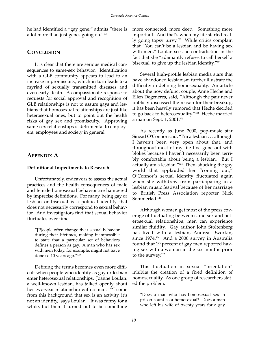he had identified a "gay gene," admits "there is a lot more than just genes going on."119

### **CONCLUSION**

It is clear that there are serious medical consequences to same-sex behavior. Identification with a GLB community appears to lead to an increase in promiscuity, which in turn leads to a myriad of sexually transmitted diseases and even early death. A compassionate response to requests for social approval and recognition of GLB relationships is not to assure gays and lesbians that homosexual relationships are just like heterosexual ones, but to point out the health risks of gay sex and promiscuity. Approving same-sex relationships is detrimental to employers, employees and society in general.

## **APPENDIX A**

#### **Definitional Impediments to Research**

Unfortunately, endeavors to assess the actual practices and the health consequences of male and female homosexual behavior are hampered by imprecise definitions. For many, being gay or lesbian or bisexual is a political identity that does not necessarily correspond to sexual behavior. And investigators find that sexual behavior fluctuates over time:

"[P]eople often change their sexual behavior during their lifetimes, making it impossible to state that a particular set of behaviors defines a person as gay. A man who has sex with men today, for example, might not have done so 10 years ago."<sup>120</sup>

Defining the terms becomes even more difficult when people who identify as gay or lesbian enter heterosexual relationships. Joanne Loulan, a well-known lesbian, has talked openly about her two-year relationship with a man: "'I come from this background that sex is an activity, it's not an identity,' says Loulan. 'It was funny for a while, but then it turned out to be something more connected, more deep. Something more important. And that's when my life started really going topsy turvy.'" While critics complain that "You can't be a lesbian and be having sex with men," Loulan sees no contradiction in the fact that she "adamantly refuses to call herself a bisexual, to give up the lesbian identity."<sup>121</sup>

Several high-profile lesbian media stars that have abandoned lesbianism further illustrate the difficulty in defining homosexuality. An article about the now defunct couple, Anne Heche and Ellen Degeneres, said, "Although the pair never publicly discussed the reason for their breakup, it has been heavily rumored that Heche decided to go back to heterosexuality."<sup>122</sup> Heche married a man on Sept. 1, 2001.<sup>123</sup>

As recently as June 2000, pop-music star Sinead O'Connor said, "I'm a lesbian . . . although I haven't been very open about that, and throughout most of my life I've gone out with blokes because I haven't necessarily been terribly comfortable about being a lesbian. But I actually am a lesbian."124 Then, shocking the gay world that applauded her "coming out," O'Connor's sexual identity fluctuated again when she withdrew from participating in a lesbian music festival because of her marriage to British Press Association reporter Nick Sommerlad.<sup>125</sup>

Although women get most of the press coverage of fluctuating between same-sex and heterosexual relationships, men can experience similar fluidity. Gay author John Stoltenberg has lived with a lesbian, Andrea Dworkin, since 1974.<sup>126</sup> And a 2000 survey in Australia found that 19 percent of gay men reported having sex with a woman in the six months prior to the survey.<sup>127</sup>

This fluctuation in sexual "orientation" inhibits the creation of a fixed definition of homosexuality. As one group of researchers stated the problem:

"Does a man who has homosexual sex in prison count as a homosexual? Does a man who left his wife of twenty years for a gay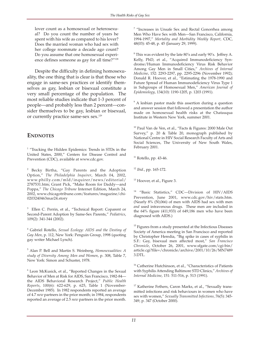lover count as a homosexual or heterosexual? Do you count the number of years he spent with his wife as compared to his lover? Does the married woman who had sex with her college roommate a decade ago count? Do you assume that one homosexual experience defines someone as gay for all time?"128

Despite the difficulty in defining homosexuality, the one thing that is clear is that those who engage in same-sex practices or identify themselves as gay, lesbian or bisexual constitute a very small percentage of the population. The most reliable studies indicate that 1-3 percent of people—and probably less than 2 percent—consider themselves to be gay, lesbian or bisexual, or currently practice same-sex sex.<sup>129</sup>

#### **ENDNOTES**

<sup>1</sup> "Tracking the Hidden Epidemics: Trends in STDs in the United States, 2000," Centers for Disease Control and Prevention (CDC), available at www.cdc.gov.

<sup>2</sup> Becky Birtha, "Gay Parents and the Adoption Option," *The Philadelphia Inquirer*, March 04, 2002, www.philly.com/mld/inquirer/news/editorial/ 2787531.htm; Grant Pick, "Make Room for Daddy—and Poppa," *The Chicago Tribune* Internet Edition, March 24, 2002, www.chicagotribune.com/features/magazine/chi-0203240463mar24.story

<sup>3</sup> Ellen C. Perrin, et al., "Technical Report: Coparent or Second-Parent Adoption by Same-Sex Parents," *Pediatrics*, 109(2): 341-344 (2002).

<sup>4</sup> Gabriel Rotello, *Sexual Ecology: AIDS and the Destiny of Gay Men*, p. 112, New York: Penguin Group, 1998 (quoting gay writer Michael Lynch).

<sup>5</sup> Alan P. Bell and Martin S. Weinberg, *Homosexualities: A study of Diversity Among Men and Women*, p. 308, Table 7, New York: Simon and Schuster, 1978.

<sup>6</sup> Leon McKusick, et al., "Reported Changes in the Sexual Behavior of Men at Risk for AIDS, San Francisco, 1982-84 the AIDS Behavioral Research Project," *Public Health Reports*, 100(6): 622-629, p. 625, Table 1 (November-December 1985). In 1982 respondents reported an average of 4.7 *new* partners in the prior month; in 1984, respondents reported an average of 2.5 *new* partners in the prior month. <sup>7</sup> "Increases in Unsafe Sex and Rectal Gonorrhea among Men Who Have Sex with Men—San Francisco, California, 1994-1997," *Mortality and Morbidity Weekly Report,* CDC, 48(03): 45-48, p. 45 (January 29, 1999).

<sup>8</sup> This was evident by the late 80's and early 90's. Jeffrey A. Kelly, PhD, et al., "Acquired Immunodeficiency Syndrome/Human Immunodeficiency Virus Risk Behavior Among Gay Men in Small Cities," *Archives of Internal Medicine*, 152: 2293-2297, pp. 2295-2296 (November 1992); Donald R. Hoover, et al., "Estimating the 1978-1990 and Future Spread of Human Immunodeficiency Virus Type 1 in Subgroups of Homosexual Men," *American Journal of Epidemiology*, 134(10): 1190-1205, p. 1203 (1991).

<sup>9</sup> A lesbian pastor made this assertion during a question and answer session that followed a presentation the author made on homosexual health risks at the Chatauqua Institute in Western New York, summer 2001.

<sup>10</sup> Paul Van de Ven, et al., "Facts & Figures: 2000 Male Out Survey," p. 20 & Table 20, monograph published by National Centre in HIV Social Research Faculty of Arts and Social Sciences, The University of New South Wales, February 2001.

 $11$  Rotello, pp. 43-46.

<sup>12</sup> *Ibid.*, pp. 165-172.

<sup>13</sup> Hoover, et al., Figure 3.

<sup>14</sup> "Basic Statistics," CDC—Division of HIV/AIDS Prevention, June 2001, www.cdc.gov/hiv/stats.htm. (Nearly 8% (50,066) of men with AIDS had sex with men *and* used intravenous drugs. These men are included in the 64% figure (411,933) of 649,186 men who have been diagnosed with AIDS.)

<sup>15</sup> Figures from a study presented at the Infectious Diseases Society of America meeting in San Francisco and reported by Christopher Heredia, "Big spike in cases of syphilis in S.F.: Gay, bisexual men affected most," *San Francisco Chronicle*, October 26, 2001, www.sfgate.com/cgi-bin/ article.cgi?file=/chronicle/archive/2001/10/26/MN7489 3.DTL.

<sup>16</sup> Catherine Hutchinson, et al., "Characteristics of Patients with Syphilis Attending Baltimore STD Clinics," *Archives of Internal Medicine*, 151: 511-516, p. 513 (1991).

<sup>17</sup> Katherine Fethers, Caron Marks, et al., "Sexually transmitted infections and risk behaviours in women who have sex with women," *Sexually Transmitted Infections,* 76(5): 345- 349, p. 347 (October 2000).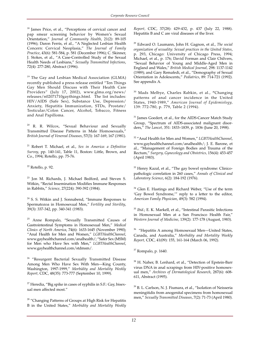<sup>18</sup> James Price, et al., "Perceptions of cervical cancer and pap smear screening behavior by Women's Sexual Orientation," *Journal of Community Health*, 21(2): 89-105 (1996); Daron Ferris, et al., "A Neglected Lesbian Health Concern: Cervical Neoplasia," *The Journal of Family Practice*, 43(6): 581-584, p. 581 (December 1996); C. Skinner, J. Stokes, et al., "A Case-Controlled Study of the Sexual Health Needs of Lesbians," *Sexually Transmitted Infections*, 72(4): 277-280, Abstract (1996).

<sup>19</sup> The Gay and Lesbian Medical Association (GLMA) recently published a press release entitled "Ten Things Gay Men Should Discuss with Their Health Care Providers" (July 17, 2002), www.glma.org/news/ releases/n02071710gaythings.html. The list includes: HIV/AIDS (Safe Sex), Substance Use, Depression/ Anxiety, Hepatitis Immunization, STDs, Prostate/ Testicular/Colon Cancer, Alcohol, Tobacco, Fitness and Anal Papilloma.

<sup>20</sup> R. R. Wilcox, "Sexual Behaviour and Sexually Transmitted Disease Patterns in Male Homosexuals," *British Journal of Venereal Diseases*, 57(3): 167-169, 167 (1981).

<sup>21</sup> Robert T. Michael, et al., *Sex in America: a Definitive Survey*, pp. 140-141, Table 11, Boston: Little, Brown, and Co., 1994; Rotello, pp. 75-76.

<sup>22</sup> Rotello, p. 92.

<sup>23</sup> Jon M. Richards, J. Michael Bedford, and Steven S. Witkin, "Rectal Insemination Modifies Immune Responses in Rabbits," *Science*, 27(224): 390-392 (1984).

<sup>24</sup> S. S. Witkin and J. Sonnabend, "Immune Responses to Spermatozoa in Homosexual Men," *Fertility and Sterility*, 39(3): 337-342, pp. 340-341 (1983).

<sup>25</sup> Anne Rompalo, "Sexually Transmitted Causes of Gastrointestinal Symptoms in Homosexual Men," *Medical Clinics of North America*, 74(6): 1633-1645 (November 1990); "Anal Health for Men and Women," *LGBTHealthChannel*, www.gayhealthchannel.com/analhealth/; "Safer Sex (MSM) for Men who Have Sex with Men," *LGBTHealthChannel*, www.gayhealthchannel.com/stdmsm/.

<sup>26</sup> "Resurgent Bacterial Sexually Transmitted Disease Among Men Who Have Sex With Men—King County, Washington, 1997-1999," *Morbidity and Mortality Weekly Report,* CDC, 48(35): 773-777 (September 10, 1999).

 $27$  Heredia, "Big spike in cases of syphilis in S.F.: Gay, bisexual men affected most."

<sup>28</sup> "Changing Patterns of Groups at High Risk for Hepatitis B in the United States," *Morbidity and Mortality Weekly* *Report,* CDC, 37(28): 429-432, p. 437 (July 22, 1988). Hepatitis B and C are viral diseases of the liver.

<sup>29</sup> Edward O. Laumann, John H. Gagnon, et al., *The social organization of sexuality: Sexual practices in the United States*, p. 293, Chicago: University of Chicago Press, 1994; Michael, et al., p. 176; David Forman and Clair Chilvers, "Sexual Behavior of Young and Middle-Aged Men in England and Wales," *British Medical Journal,* 298: 1137-1142 (1989); and Gary Remafedi, et al., "Demography of Sexual Orientation in Adolescents," *Pediatrics*, 89: 714-721 (1992). See appendix A.

<sup>30</sup> Mads Melbye, Charles Rabkin, et al., **"**Changing patterns of anal cancer incidence in the United States, 1940-1989," *American Journal of Epidemiology,* 139: 772-780, p. 779, Table 2 (1994).

<sup>31</sup> James Goedert, et al., for the AIDS-Cancer Match Study Group, "Spectrum of AIDS-associated malignant disorders," *The Lancet,* 351: 1833–1839, p. 1836 (June 20, 1998).

<sup>32</sup> "Anal Health for Men and Women," *LGBTHealthChannel*, www.gayhealthchannel.com/analhealth/; J. E. Barone, et al., "Management of Foreign Bodies and Trauma of the Rectum," *Surgery, Gynecology and Obstetrics,* 156(4): 453-457 (April 1983).

<sup>33</sup> Henry Kazal, et al., "The gay bowel syndrome: Clinicopathologic correlation in 260 cases," *Annals of Clinical and Laboratory Science*, 6(2): 184-192 (1976).

<sup>34</sup> Glen E. Hastings and Richard Weber, "Use of the term 'Gay Bowel Syndrome,'" reply to a letter to the editor, *American Family Physician*, 49(3): 582 (1994).

<sup>35</sup> *Ibid*.; E. K. Markell, et al., "Intestinal Parasitic Infections in Homosexual Men at a San Francisco Health Fair," *Western Journal of Medicine*, 139(2): 177-178 (August, 1983).

<sup>36</sup> "Hepatitis A among Homosexual Men—United States, Canada, and Australia," *Morbidity and Mortality Weekly Report,* CDC, 41(09): 155, 161-164 (March 06, 1992).

<sup>37</sup> Rompalo, p. 1640.

<sup>38</sup> H. Naher, B. Lenhard, et al., "Detection of Epstein-Barr virus DNA in anal scrapings from HIV-positive homosexual men," *Archives of Dermatological Research*, 287(6): 608- 611, Abstract (1995).

<sup>39</sup> B. L. Carlson, N. J. Fiumara, et al., "Isolation of Neisseria meningitidis from anogenital specimens from homosexual men," *Sexually Transmitted Diseases*, 7(2): 71-73 (April 1980).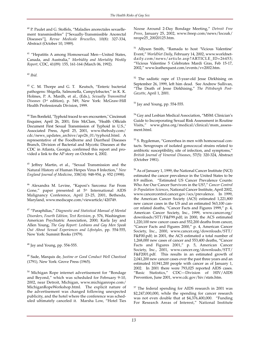<sup>40</sup> P. Paulet and G. Stoffels, "Maladies anorectales sexuellement transmissibles" ["Sexually-Transmissible Anorectal Diseases"], *Revue Medicale Bruxelles,* 10(8): 327-334, Abstract (October 10, 1989).

<sup>41</sup> "Hepatitis A among Homosexual Men-United States, Canada, and Australia," *Morbidity and Mortality Weekly Report,* CDC, 41(09): 155, 161-164 (March 06, 1992).

#### <sup>42</sup> *Ibid.*

<sup>43</sup> C. M. Thorpe and G. T. Keutsch, "Enteric bacterial pathogens: Shigella, Salmonella, Campylobacter," in K. K. Holmes, P. A. Mardh, et al., (Eds.), *Sexually Transmitted Diseases* (3rd edition), p. 549, New York: McGraw-Hill Health Professionals Division, 1999.

<sup>44</sup> Tim Bonfield, "Typhoid traced to sex encounters," Cincinnati Enquirer, April 26, 2001; Erin McClam, "Health Officials Document First Sexual Transmission of Typhoid in U.S.," Associated Press, April 25, 2001, www.thebody.com/ cdc/news\_updates\_archive/apr26\_01/typhoid.html. A representative of the Foodborne and Diarrheal Diseases Branch, Division of Bacterial and Mycotic Diseases at the CDC in Atlanta, Georgia, confirmed this report and provided a link to the AP story on October 4, 2002.

<sup>45</sup> Jeffrey Martin, et al., "Sexual Transmission and the Natural History of Human Herpes Virus 8 Infection," *New England Journal of Medicine*, 338(14): 948-954, p. 952 (1998).

<sup>46</sup> Alexandra M. Levine, "Kaposi's Sarcoma: Far From Gone," paper presented at  $5<sup>th</sup>$  International AIDS Malignancy Conference, April 23-25, 2001, Bethesda, Maryland, www.medscape.com/viewarticle/420749.

<sup>47</sup> "Paraphilias," *Diagnostic and Statistical Manual of Mental Disorders, Fourth Edition, Text Revision*, p. 576, Washington: American Psychiatric Association, 2000; Karla Jay and Allen Young, *The Gay Report: Lesbians and Gay Men Speak Out About Sexual Experiences and Lifestyles,* pp. 554-555, New York: Summit Books (1979).

<sup>48</sup> Jay and Young, pp. 554-555.

<sup>49</sup> Sade, Marquis de, *Justine or Good Conduct Well Chastised* (1791)*,* New York: Grove Press (1965).

<sup>50</sup> Michigan Rope internet advertisement for "Bondage and Beyond," which was scheduled for February 9-10, 2002, near Detroit, Michigan, www.michiganrope.com/ MichiganRopeWorkshop.html. The explicit nature of the advertisement was changed following unexpected publicity, and the hotel where the conference was scheduled ultimately canceled it. Marsha Low, "Hotel Ties Noose Around 2-Day Bondage Meeting," *Detroit Free Press*, January 25, 2002, www.freep.com/news/locoak/ nrope25\_20020125.htm.

<sup>51</sup> Allyson Smith, "Ramada to host 'Vicious Valentine' Event," *WorldNet Daily*, February 14, 2002, www.worldnetdaily.com/news/article.asp?ARTICLE\_ID=26453; "Vicious Valentine 5 Celebrates Mardi Gras, Feb 15-17, 2002," www.leatherquest.com/events/vv2002.htm.

<sup>52</sup> The sadistic rape of 13-year-old Jesse Dirkhising on September 26, 1999, left him dead. See Andrew Sullivan, "The Death of Jesse Dirkhising," *The Pittsburgh Post-Gazette*, April 1, 2001.

<sup>53</sup> Jay and Young, pp. 554-555.

<sup>54</sup> Gay and Lesbian Medical Association, "MSM: Clinician's Guide to Incorporating Sexual Risk Assessment in Routine Visits," www.glma.org/medical/clinical/msm\_assessment.html.

<sup>55</sup> S. Bygdeman, "Gonorrhea in men with homosexual contacts. Serogroups of isolated gonococcal strains related to antibiotic susceptibility, site of infection, and symptoms," *British Journal of Venereal Diseases*, 57(5): 320-324, Abstract (October 1981).

<sup>56</sup> As of January 1, 1999, the National Cancer Institute (NCI) estimated the cancer prevalence in the United States to be 8.9 million. "Estimated US Cancer Prevalence Counts: Who Are Our Cancer Survivors in the US?," *Cancer Control & Population Sciences*, National Cancer Institute, April 2002, www.cancercontrol.cancer.gov/ocs/prevalence. In 1999, the American Cancer Society (ACS) estimated 1,221,800 new cancer cases in the US and an estimated 563,100 cancer related deaths, "Cancer Facts and Figures 1999," p. 4, American Cancer Society, Inc., 1999, www.cancer.org/ downloads/STT/F&F99.pdf; in 2000, the ACS estimated 1,220,100 new cancer cases and 552,200 deaths from cancer, "Cancer Facts and Figures 2000," p. 4, American Cancer Society, Inc., 2000, www.cancer.org/downloads/STT/ F&F00.pdf; in 2001, the ACS estimated a total number of 1,268,000 new cases of cancer and 553,400 deaths, "Cancer Facts and Figures 2001," p. 5, American Cancer Society, Inc., 2001, www.cancer.org/downloads/STT/ F&F2001.pdf. This results in an estimated growth of 2,041,200 new cancer cases over the past three years and an estimated 10,941,200 people with cancer as of January 1, 2002. In 2001 there were 793,025 reported AIDS cases. "Basic Statistics," CDC—Division of HIV/AIDS Prevention, June 2001, www.cdc.gov/hiv/stats.htm.

<sup>57</sup> The federal spending for AIDS research in 2001 was \$2,247,000,000, while the spending for cancer research was not even double that at \$4,376,400,000. "Funding For Research Areas of Interest," National Institute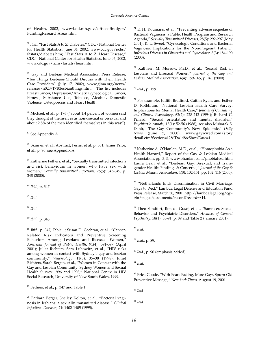of Health, 2002, www4.od.nih.gov/officeofbudget/ FundingResearchAreas.htm.

<sup>58</sup> *Ibid.*; "Fast Stats A to Z: Diabetes," CDC - National Center for Health Statistics, June 04, 2002, www.cdc.gov/nchs/ fastats/diabetes.htm; "Fast Stats A to Z: Heart Disease," CDC - National Center for Health Statistics, June 06, 2002, www.cdc.gov/nchs/fastats/heart.htm.

<sup>59</sup> Gay and Lesbian Medical Association Press Release, "Ten Things Lesbians Should Discuss with Their Health Care Providers" (July 17, 2002), www.glma.org/news/ releases/n02071710lesbianthings.html. The list includes Breast Cancer, Depression/Anxiety, Gynecological Cancer, Fitness, Substance Use, Tobacco, Alcohol, Domestic Violence, Osteoporosis and Heart Health.

 $60$  Michael, et al., p. 176 ("about 1.4 percent of women said they thought of themselves as homosexual or bisexual and about 2.8% of the men identified themselves in this way").

<sup>61</sup> See Appendix A.

<sup>62</sup> Skinner, et al., Abstract; Ferris, et al. p. 581; James Price, et al., p. 90; see Appendix A.

<sup>63</sup> Katherine Fethers, et al., "Sexually transmitted infections and risk behaviours in women who have sex with women," *Sexually Transmitted Infections*, 76(5): 345-349, p. 348 (2000).

<sup>64</sup> *Ibid*., p. 347.

<sup>65</sup> *Ibid.*

<sup>66</sup> *Ibid.*

<sup>67</sup> *Ibid*., p. 348.

<sup>68</sup> *Ibid*., p. 347, Table 1; Susan D. Cochran, et al., "Cancer-Related Risk Indicators and Preventive Screening Behaviors Among Lesbians and Bisexual Women," *American Journal of Public Health*, 91(4): 591-597 (April 2001); Juliet Richters, Sara Lubowitz, et al., "HIV risks among women in contact with Sydney's gay and lesbian community," *Venereology,* 11(3): 35–38 (1998); Juliet Richters, Sarah Bergin, et al., "Women in Contact with the Gay and Lesbian Community: Sydney Women and Sexual Health Survey 1996 and 1998," National Centre in HIV Social Research, University of New South Wales, 1999.

<sup>69</sup> Fethers, et al., p. 347 and Table 1*.*

<sup>70</sup> Barbara Berger, Shelley Kolton, et al., "Bacterial vaginosis in lesbians: a sexually transmitted disease," *Clinical Infectious Diseases,* 21: 1402-1405 (1995).

<sup>71</sup> E. H. Koumans, et al., "Preventing adverse sequelae of Bacterial Vaginosis: a Public Health Program and Research Agenda," *Sexually Transmitted Diseases*, 28(5): 292-297 (May 2001); R. L. Sweet, "Gynecologic Conditions and Bacterial Vaginosis: Implications for the Non-Pregnant Patient," *Infectious Diseases in Obstetrics and Gynecology*, 8(3): 184-190 (2000).

<sup>72</sup> Kathleen M. Morrow, Ph.D., et al., "Sexual Risk in Lesbians and Bisexual Women," *Journal of the Gay and Lesbian Medical Association*, 4(4): 159-165, p. 161 (2000).

<sup>73</sup> *Ibid*., p. 159.

<sup>74</sup> For example, Judith Bradford, Caitlin Ryan, and Esther D. Rothblum, "National Lesbian Health Care Survey: Implications for Mental Health Care," *Journal of Consulting and Clinical Psychology*, 62(2): 228-242 (1994); Richard C. Pillard, "Sexual orientation and mental disorder," *Psychiatric Annals,* 18(1): 52-56 (1988); see also Mubarak S. Dahir, "The Gay Community's New Epidemic," *Daily News* (June 5, 2000), www.gaywired.com/story detail.cfm?Section=12&ID=148&ShowDate=1.

<sup>75</sup> Katherine A. O'Hanlan, M.D., et al., "Homophobia As a Health Hazard," Report of the Gay & Lesbian Medical Association, pp. 3, 5, www.ohanlan.com/phobiahzd.htm; Laura Dean, et al., "Lesbian, Gay, Bisexual, and Transgender Health: Findings & Concerns," *Journal of the Gay & Lesbian Medical Association*, 4(3): 102-151, pp. 102, 116 (2000).

<sup>76</sup> "Netherlands Ends Discrimination in Civil Marriage: Gays to Wed," Lambda Legal Defense and Education Fund Press Release, March 30, 2001, http://lambdalegal.org/cgibin/pages/documents/record?record=814.

<sup>77</sup> Theo Sandfort, Ron de Graaf, et al., "Same-sex Sexual Behavior and Psychiatric Disorders," *Archives of General Psychiatry*, 58(1): 85-91, p. 89 and Table 2 (January 2001).

<sup>78</sup> *Ibid*.

<sup>79</sup> *Ibid*., p. 89.

<sup>80</sup> *Ibid*., p. 90 (emphasis added).

<sup>81</sup> *Ibid*.

<sup>82</sup> Erica Goode, "With Fears Fading, More Gays Spurn Old Preventive Message," *New York Times,* August 19, 2001.

<sup>83</sup> *Ibid*.

<sup>84</sup> *Ibid*.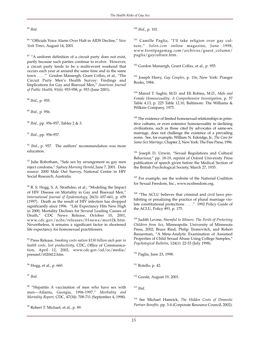<sup>85</sup> *Ibid*.

<sup>86</sup> "Officials Voice Alarm Over Halt in AIDS Decline," *New York Times,* August 14, 2001.

<sup>87</sup> "A uniform definition of a circuit party does not exist, partly because such parties continue to evolve. However, a circuit party tends to be a multi-event weekend that occurs each year at around the same time and in the same town . . . ." Gordon Mansergh, Grant Colfax, et al., "The Circuit Party Men's Health Survey: Findings and Implications for Gay and Bisexual Men," *American Journal of Public Health*, 91(6): 953-958, p. 953 (June 2001).

<sup>88</sup> *Ibid*., p. 955.

<sup>89</sup> *Ibid*., p. 956.

<sup>90</sup> *Ibid*., pp. 956-957, Tables 2 & 3.

<sup>91</sup> *Ibid*., pp. 956-957.

<sup>92</sup> *Ibid.*, p. 957. The authors' recommendation was more education.

 $93$  Julie Robotham, "Safe sex by arrangement as gay men reject condoms," *Sydney Morning Herald*, June 7, 2001. Data source: 2000 Male Out Survey, National Centre in HIV Social Research, Australia.

<sup>94</sup> R. S. Hogg, S. A. Strathdee, et al., "Modeling the Impact of HIV Disease on Mortality in Gay and Bisexual Men," *International Journal of Epidemiology,* 26(3): 657-661, p. 659 (1997). Death as the result of HIV infection has dropped significantly since 1996. "Life Expectancy Hits New High in 2000; Mortality Declines for Several Leading Causes of Death," CDC News Release, October 10, 2001, www.cdc.gov/nchs/releases/01news/mort2k.htm. Nevertheless, it remains a significant factor in shortened life expectancy for homosexual practitioners.

<sup>95</sup> Press Release, *Smoking costs nation \$150 billion each year in health costs, lost productivity*, CDC, Office of Communication, April 12, 2002, www.cdc.gov/od/oc/media/ pressrel/r020412.htm.

<sup>96</sup> Hogg, et al., p. 660.

<sup>97</sup> *Ibid*.

<sup>98</sup> "Hepatitis A vaccination of men who have sex with men—Atlanta, Georgia, 1996-1997," *Morbidity and Mortality Report*, CDC, 47(34): 708-711 (September 4, 1998).

<sup>99</sup> Robert T. Michael, et al., p. 89.

<sup>100</sup> *Ibid*., p. 101.

<sup>101</sup> Camille Paglia, "I'll take religion over gay culture," *Salon.com* online magazine, June 1998, www.frontpagemag.com/archives/guest\_column/ paglia/gayculture.htm.

<sup>102</sup> Gordon Mansergh, Grant Colfax, et al., p. 955.

<sup>103</sup> Joseph Harry, *Gay Couples*, p. 116, New York: Praeger Books, 1984.

<sup>104</sup> Marcel T. Saghir, M.D. and Eli Robins, M.D., *Male and Female Homosexuality: A Comprehensive Investigation*, p. 57 Table 4.13, p. 225 Table 12.10, Baltimore: The Williams & Wilkins Company, 1973.

<sup>105</sup> The existence of limited homosexual relationships in primitive cultures, or even extensive homosexuality in declining civilizations, such as those cited by advocates of same-sex marriage, does not challenge the existence of a prevailing norm. See, for example, William N. Eskridge, Jr., *The Case for Same-Sex Marriage*, Chapter 2, New York: The Free Press, 1996.

<sup>106</sup> Joseph D. Unwin, "Sexual Regulations and Cultural Behaviour," pp. 18-19, reprint of Oxford University Press publication of speech given before the Medical Section of the British Psychological Society, March 27, 1935.

<sup>107</sup> For example, see the website of the National Coalition for Sexual Freedom, Inc., www.ncsfreedom.org.

<sup>108</sup> "The ACLU believes that criminal and civil laws prohibiting or penalizing the practice of plural marriage violate constitutional protections . . . ." 1992 Policy Guide of the ACLU, Policy #91, p. 175.

<sup>109</sup> Judith Levine, *Harmful to Minors: The Perils of Protecting Children from Sex*, Minneapolis: University of Minnesota Press, 2002; Bruce Rind, Philip Tromovitch, and Robert Bauserman, "A Meta-Analytic Examination of Assumed Properties of Child Sexual Abuse Using College Samples," *Psychological Bulletin*, 124(1): 22-53 (July 1998).

<sup>110</sup> Paglia, June 23, 1998.

<sup>111</sup> Rotello, p. 42.

<sup>112</sup> Goode, August 19, 2001.

<sup>113</sup> *Ibid*.

<sup>114</sup> See Michael Hamrick, *The Hidden Costs of Domestic Partner Benefits,* pp. 3-4 (Corporate Resource Council, 2002).